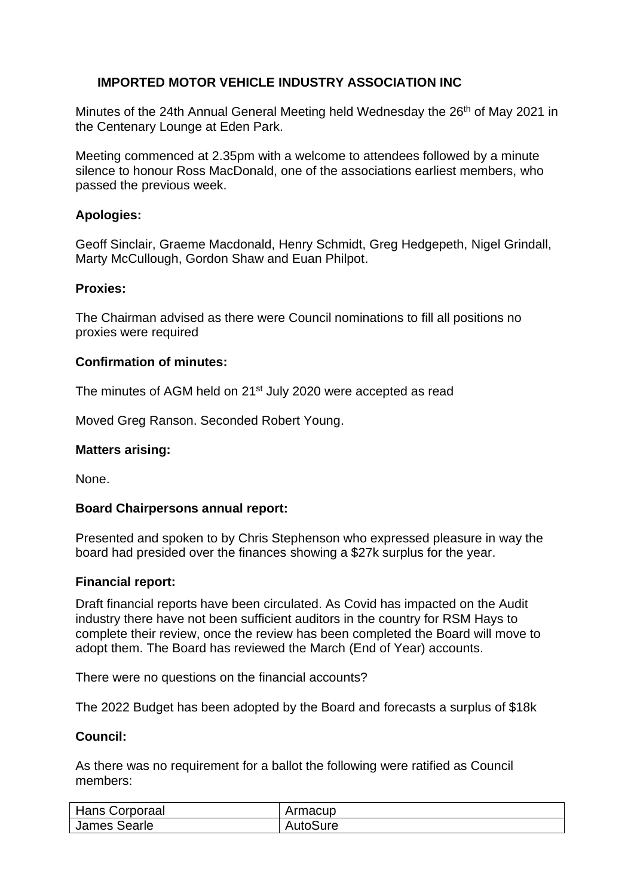# **IMPORTED MOTOR VEHICLE INDUSTRY ASSOCIATION INC**

Minutes of the 24th Annual General Meeting held Wednesday the 26<sup>th</sup> of May 2021 in the Centenary Lounge at Eden Park.

Meeting commenced at 2.35pm with a welcome to attendees followed by a minute silence to honour Ross MacDonald, one of the associations earliest members, who passed the previous week.

## **Apologies:**

Geoff Sinclair, Graeme Macdonald, Henry Schmidt, Greg Hedgepeth, Nigel Grindall, Marty McCullough, Gordon Shaw and Euan Philpot.

### **Proxies:**

The Chairman advised as there were Council nominations to fill all positions no proxies were required

### **Confirmation of minutes:**

The minutes of AGM held on 21<sup>st</sup> July 2020 were accepted as read

Moved Greg Ranson. Seconded Robert Young.

#### **Matters arising:**

None.

### **Board Chairpersons annual report:**

Presented and spoken to by Chris Stephenson who expressed pleasure in way the board had presided over the finances showing a \$27k surplus for the year.

#### **Financial report:**

Draft financial reports have been circulated. As Covid has impacted on the Audit industry there have not been sufficient auditors in the country for RSM Hays to complete their review, once the review has been completed the Board will move to adopt them. The Board has reviewed the March (End of Year) accounts.

There were no questions on the financial accounts?

The 2022 Budget has been adopted by the Board and forecasts a surplus of \$18k

### **Council:**

As there was no requirement for a ballot the following were ratified as Council members:

| <b>Hans Corporaal</b> | Armacup  |
|-----------------------|----------|
| James Searle          | AutoSure |